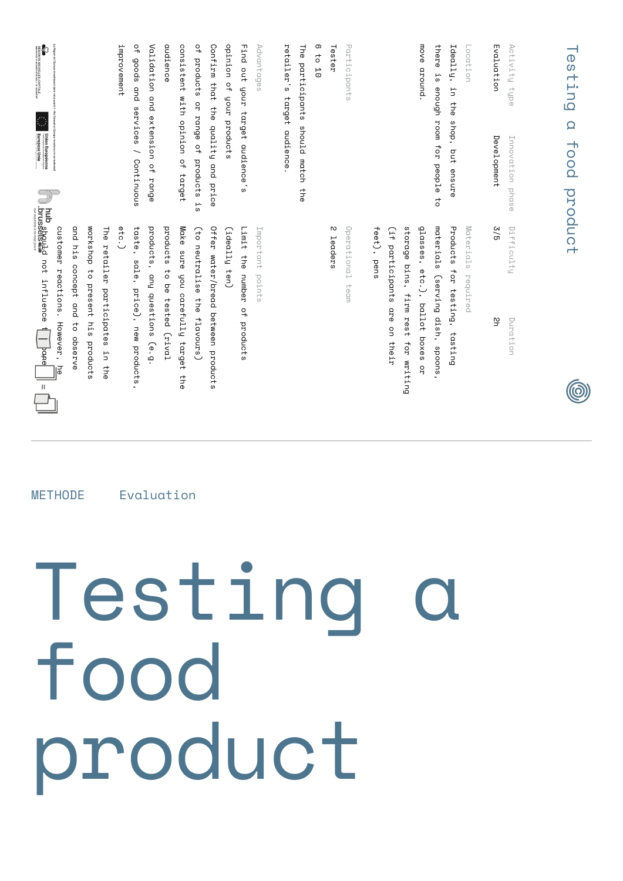| <b>METHODE</b> |
|----------------|
|                |
|                |
|                |
| Evaluation     |
|                |
|                |
|                |
|                |
|                |
|                |
|                |
|                |
|                |
|                |
|                |
|                |
|                |
|                |
|                |
|                |
|                |
|                |
|                |
|                |
|                |
|                |
|                |
|                |
|                |
|                |
|                |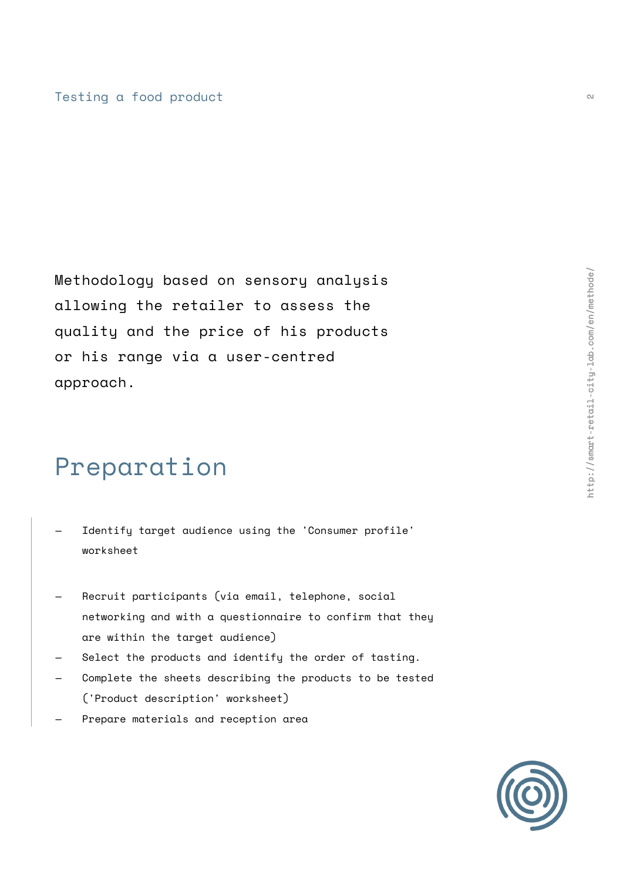Methodology based on sensory analysis allowing the retailer to assess the quality and the price of his products or his range via a user-centred approach.

# Preparation

- Identify target audience using the 'Consumer profile' worksheet —
- Recruit participants (via email, telephone, social networking and with a questionnaire to confirm that they are within the target audience) —
- Select the products and identify the order of tasting. —
- Complete the sheets describing the products to be tested ('Product description' worksheet) —
- Prepare materials and reception area —

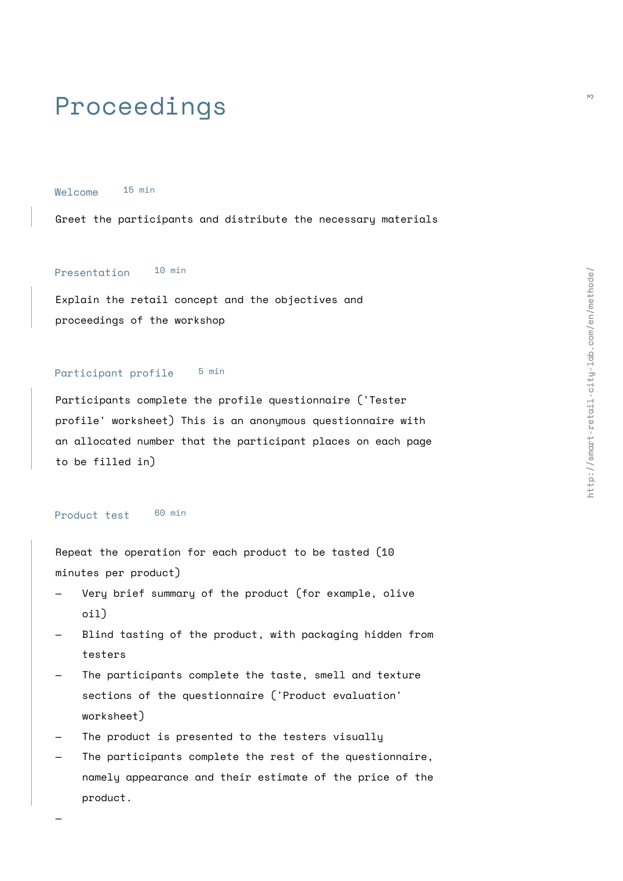## Proceedings

Welcome 15 min

Greet the participants and distribute the necessary materials

## Presentation 10 min

Explain the retail concept and the objectives and proceedings of the workshop

#### Participant profile 5 min

Participants complete the profile questionnaire ('Tester profile' worksheet) This is an anonymous questionnaire with an allocated number that the participant places on each page to be filled in)

#### Product test 60 min

Repeat the operation for each product to be tasted (10 minutes per product)

- Very brief summary of the product (for example, olive oil) —
- Blind tasting of the product, with packaging hidden from testers —
- The participants complete the taste, smell and texture sections of the questionnaire ('Product evaluation' worksheet) —
- The product is presented to the testers visually —
- The participants complete the rest of the questionnaire, namely appearance and their estimate of the price of the product. —

—